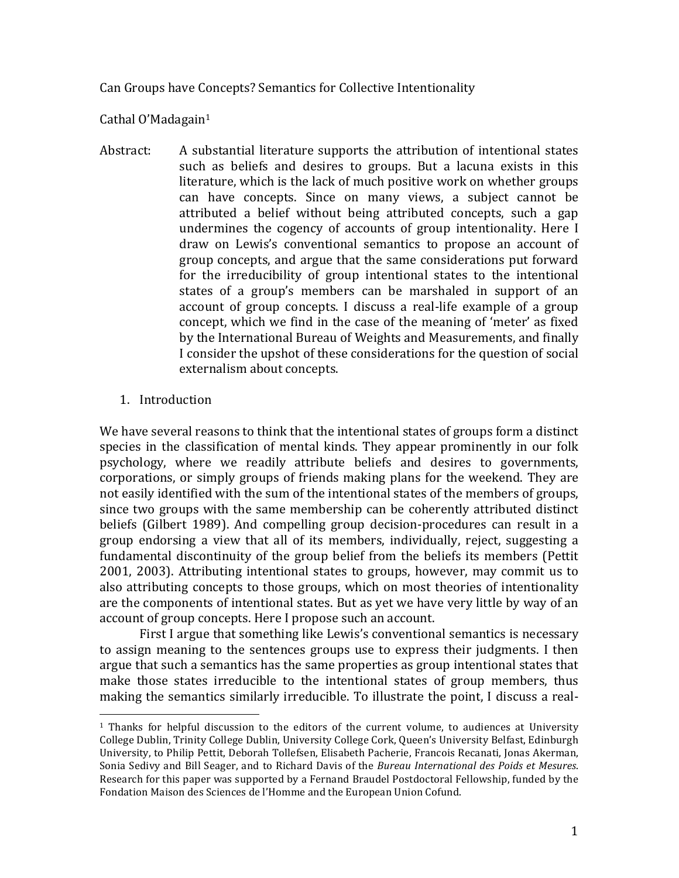Can Groups have Concepts? Semantics for Collective Intentionality

Cathal O'Madagain $1$ 

- Abstract: A substantial literature supports the attribution of intentional states such as beliefs and desires to groups. But a lacuna exists in this literature, which is the lack of much positive work on whether groups can have concepts. Since on many views, a subject cannot be attributed a belief without being attributed concepts, such a gap undermines the cogency of accounts of group intentionality. Here I draw on Lewis's conventional semantics to propose an account of group concepts, and argue that the same considerations put forward for the irreducibility of group intentional states to the intentional states of a group's members can be marshaled in support of an account of group concepts. I discuss a real-life example of a group concept, which we find in the case of the meaning of 'meter' as fixed by the International Bureau of Weights and Measurements, and finally I consider the upshot of these considerations for the question of social externalism about concepts.
	- 1. Introduction

!!!!!!!!!!!!!!!!!!!!!!!!!!!!!!!!!!!!!!!!!!!!!!!!!!!!!!!

We have several reasons to think that the intentional states of groups form a distinct species in the classification of mental kinds. They appear prominently in our folk psychology, where we readily attribute beliefs and desires to governments, corporations, or simply groups of friends making plans for the weekend. They are not easily identified with the sum of the intentional states of the members of groups, since two groups with the same membership can be coherently attributed distinct beliefs (Gilbert 1989). And compelling group decision-procedures can result in a group endorsing a view that all of its members, individually, reject, suggesting a fundamental discontinuity of the group belief from the beliefs its members (Pettit 2001, 2003). Attributing intentional states to groups, however, may commit us to also attributing concepts to those groups, which on most theories of intentionality are the components of intentional states. But as yet we have very little by way of an account of group concepts. Here I propose such an account.

First I argue that something like Lewis's conventional semantics is necessary to assign meaning to the sentences groups use to express their judgments. I then argue that such a semantics has the same properties as group intentional states that make those states irreducible to the intentional states of group members, thus making the semantics similarly irreducible. To illustrate the point, I discuss a real-

 $1$  Thanks for helpful discussion to the editors of the current volume, to audiences at University College Dublin, Trinity College Dublin, University College Cork, Queen's University Belfast, Edinburgh University, to Philip Pettit, Deborah Tollefsen, Elisabeth Pacherie, Francois Recanati, Jonas Akerman, Sonia Sedivy and Bill Seager, and to Richard Davis of the *Bureau International des Poids et Mesures*. Research for this paper was supported by a Fernand Braudel Postdoctoral Fellowship, funded by the Fondation Maison des Sciences de l'Homme and the European Union Cofund.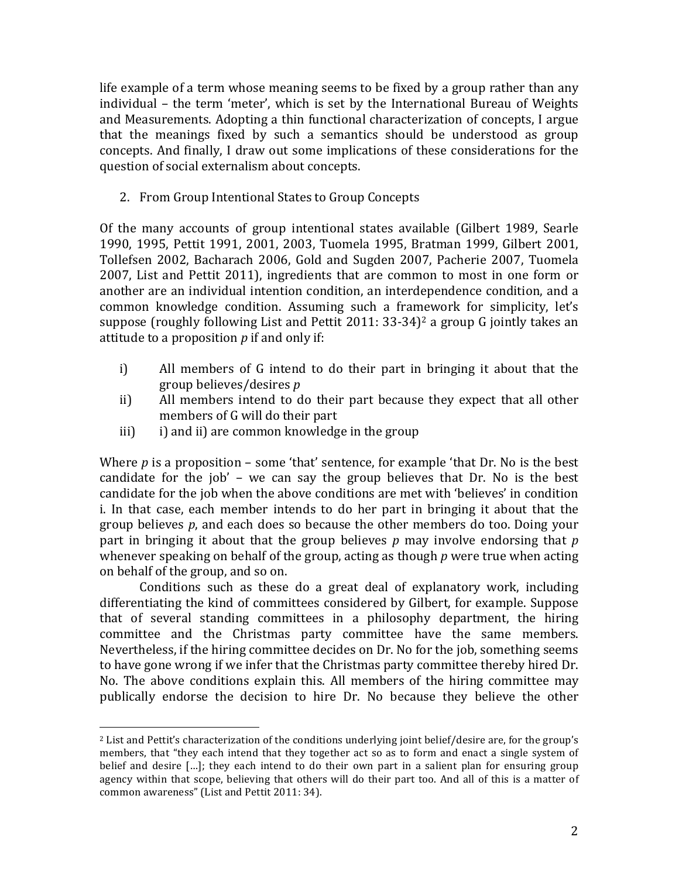life example of a term whose meaning seems to be fixed by a group rather than any individual - the term 'meter', which is set by the International Bureau of Weights and Measurements. Adopting a thin functional characterization of concepts, I argue that the meanings fixed by such a semantics should be understood as group concepts. And finally, I draw out some implications of these considerations for the question of social externalism about concepts.

2. From Group Intentional States to Group Concepts

Of the many accounts of group intentional states available (Gilbert 1989, Searle 1990, 1995, Pettit 1991, 2001, 2003, Tuomela 1995, Bratman 1999, Gilbert 2001, Tollefsen 2002, Bacharach 2006, Gold and Sugden 2007, Pacherie 2007, Tuomela 2007, List and Pettit 2011), ingredients that are common to most in one form or another are an individual intention condition, an interdependence condition, and a common knowledge condition. Assuming such a framework for simplicity, let's suppose (roughly following List and Pettit 2011:  $33-34$ <sup>2</sup> a group G jointly takes an attitude to a proposition  $p$  if and only if:

- i) All members of G intend to do their part in bringing it about that the group!believes/desires!*p*
- ii) All members intend to do their part because they expect that all other members of G will do their part
- iii) i) and ii) are common knowledge in the group

!!!!!!!!!!!!!!!!!!!!!!!!!!!!!!!!!!!!!!!!!!!!!!!!!!!!!!!

Where *p* is a proposition – some 'that' sentence, for example 'that Dr. No is the best candidate for the job' – we can say the group believes that Dr. No is the best candidate for the job when the above conditions are met with 'believes' in condition i. In that case, each member intends to do her part in bringing it about that the group believes  $p$ , and each does so because the other members do too. Doing your part in bringing it about that the group believes  $p$  may involve endorsing that  $p$ whenever speaking on behalf of the group, acting as though p were true when acting on behalf of the group, and so on.

Conditions such as these do a great deal of explanatory work, including differentiating the kind of committees considered by Gilbert, for example. Suppose that of several standing committees in a philosophy department, the hiring committee and the Christmas party committee have the same members. Nevertheless, if the hiring committee decides on Dr. No for the job, something seems to have gone wrong if we infer that the Christmas party committee thereby hired Dr. No. The above conditions explain this. All members of the hiring committee may publically endorse the decision to hire Dr. No because they believe the other

<sup>&</sup>lt;sup>2</sup> List and Pettit's characterization of the conditions underlying joint belief/desire are, for the group's members, that "they each intend that they together act so as to form and enact a single system of belief and desire  $[\ldots]$ ; they each intend to do their own part in a salient plan for ensuring group agency within that scope, believing that others will do their part too. And all of this is a matter of common awareness" (List and Pettit 2011: 34).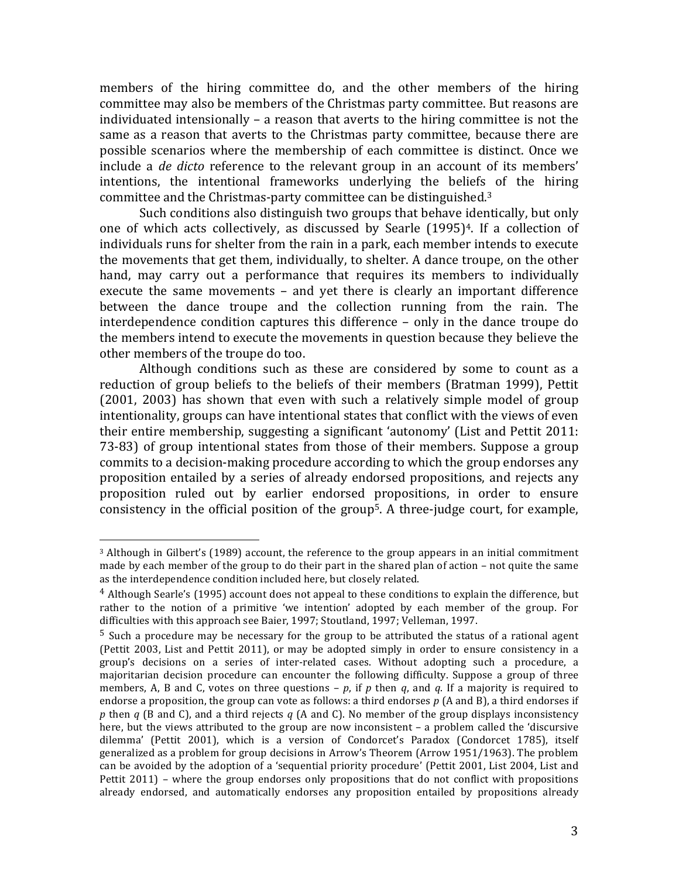members of the hiring committee do, and the other members of the hiring committee may also be members of the Christmas party committee. But reasons are individuated intensionally – a reason that averts to the hiring committee is not the same as a reason that averts to the Christmas party committee, because there are possible scenarios where the membership of each committee is distinct. Once we include a *de dicto* reference to the relevant group in an account of its members' intentions, the intentional frameworks underlying the beliefs of the hiring committee and the Christmas-party committee can be distinguished.<sup>3</sup>

Such conditions also distinguish two groups that behave identically, but only one of which acts collectively, as discussed by Searle (1995)<sup>4</sup>. If a collection of individuals runs for shelter from the rain in a park, each member intends to execute the movements that get them, individually, to shelter. A dance troupe, on the other hand, may carry out a performance that requires its members to individually execute the same movements – and yet there is clearly an important difference between the dance troupe and the collection running from the rain. The interdependence condition captures this difference – only in the dance troupe do the members intend to execute the movements in question because they believe the other members of the troupe do too.

Although conditions such as these are considered by some to count as a reduction of group beliefs to the beliefs of their members (Bratman 1999), Pettit  $(2001, 2003)$  has shown that even with such a relatively simple model of group intentionality, groups can have intentional states that conflict with the views of even their entire membership, suggesting a significant 'autonomy' (List and Pettit 2011: 73-83) of group intentional states from those of their members. Suppose a group commits to a decision-making procedure according to which the group endorses any proposition entailed by a series of already endorsed propositions, and rejects any proposition ruled out by earlier endorsed propositions, in order to ensure consistency in the official position of the group<sup>5</sup>. A three-judge court, for example,

!!!!!!!!!!!!!!!!!!!!!!!!!!!!!!!!!!!!!!!!!!!!!!!!!!!!!!!

 $3$  Although in Gilbert's (1989) account, the reference to the group appears in an initial commitment made by each member of the group to do their part in the shared plan of action – not quite the same as the interdependence condition included here, but closely related.

 $4$  Although Searle's (1995) account does not appeal to these conditions to explain the difference, but rather to the notion of a primitive 'we intention' adopted by each member of the group. For difficulties with this approach see Baier, 1997; Stoutland, 1997; Velleman, 1997.

 $<sup>5</sup>$  Such a procedure may be necessary for the group to be attributed the status of a rational agent</sup> (Pettit 2003, List and Pettit 2011), or may be adopted simply in order to ensure consistency in a group's decisions on a series of inter-related cases. Without adopting such a procedure, a majoritarian decision procedure can encounter the following difficulty. Suppose a group of three members, A, B and C, votes on three questions  $- p$ , if p then q, and q. If a majority is required to endorse a proposition, the group can vote as follows: a third endorses  $p$  (A and B), a third endorses if *p* then *q* (B and C), and a third rejects *q* (A and C). No member of the group displays inconsistency here, but the views attributed to the group are now inconsistent – a problem called the 'discursive dilemma' (Pettit 2001), which is a version of Condorcet's Paradox (Condorcet 1785), itself generalized as a problem for group decisions in Arrow's Theorem (Arrow 1951/1963). The problem can be avoided by the adoption of a 'sequential priority procedure' (Pettit 2001, List 2004, List and Pettit  $2011$ ) – where the group endorses only propositions that do not conflict with propositions already endorsed, and automatically endorses any proposition entailed by propositions already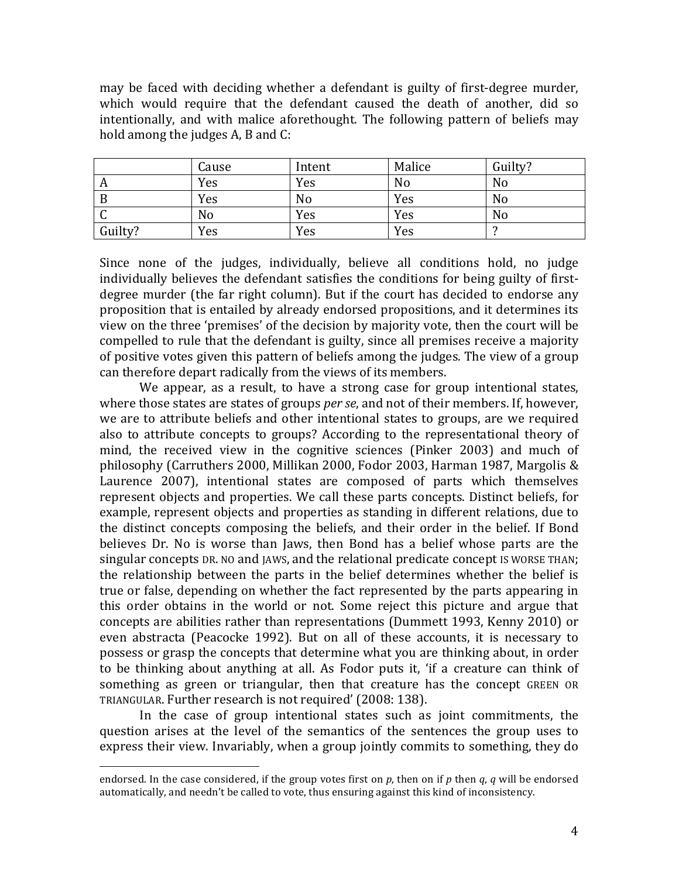may be faced with deciding whether a defendant is guilty of first-degree murder, which would require that the defendant caused the death of another, did so intentionally, and with malice aforethought. The following pattern of beliefs may hold among the judges  $A$ ,  $B$  and  $C$ :

|         | Cause          | Intent         | Malice         | Guilty?        |
|---------|----------------|----------------|----------------|----------------|
| A       | Yes            | Yes            | N <sub>o</sub> | N <sub>o</sub> |
| B       | Yes            | N <sub>o</sub> | Yes            | No             |
|         | N <sub>o</sub> | Yes            | Yes            | N <sub>o</sub> |
| Guilty? | Yes            | Yes            | Yes            |                |

Since none of the judges, individually, believe all conditions hold, no judge individually believes the defendant satisfies the conditions for being guilty of firstdegree murder (the far right column). But if the court has decided to endorse any proposition that is entailed by already endorsed propositions, and it determines its view on the three 'premises' of the decision by majority vote, then the court will be compelled to rule that the defendant is guilty, since all premises receive a majority of positive votes given this pattern of beliefs among the judges. The view of a group can therefore depart radically from the views of its members.

We appear, as a result, to have a strong case for group intentional states, where those states are states of groups *per se*, and not of their members. If, however, we are to attribute beliefs and other intentional states to groups, are we required also to attribute concepts to groups? According to the representational theory of mind, the received view in the cognitive sciences (Pinker 2003) and much of philosophy (Carruthers 2000, Millikan 2000, Fodor 2003, Harman 1987, Margolis & Laurence 2007), intentional states are composed of parts which themselves represent objects and properties. We call these parts concepts. Distinct beliefs, for example, represent objects and properties as standing in different relations, due to the distinct concepts composing the beliefs, and their order in the belief. If Bond believes Dr. No is worse than Jaws, then Bond has a belief whose parts are the singular concepts DR. NO and JAWS, and the relational predicate concept IS WORSE THAN; the relationship between the parts in the belief determines whether the belief is true or false, depending on whether the fact represented by the parts appearing in this order obtains in the world or not. Some reject this picture and argue that concepts are abilities rather than representations (Dummett 1993, Kenny 2010) or even abstracta (Peacocke 1992). But on all of these accounts, it is necessary to possess or grasp the concepts that determine what you are thinking about, in order to be thinking about anything at all. As Fodor puts it, 'if a creature can think of something as green or triangular, then that creature has the concept GREEN OR TRIANGULAR. Further research is not required' (2008: 138).

In the case of group intentional states such as joint commitments, the question arises at the level of the semantics of the sentences the group uses to express their view. Invariably, when a group jointly commits to something, they do

!!!!!!!!!!!!!!!!!!!!!!!!!!!!!!!!!!!!!!!!!!!!!!!!!!!!!!!

endorsed. In the case considered, if the group votes first on  $p$ , then on if  $p$  then  $q$ ,  $q$  will be endorsed automatically, and needn't be called to vote, thus ensuring against this kind of inconsistency.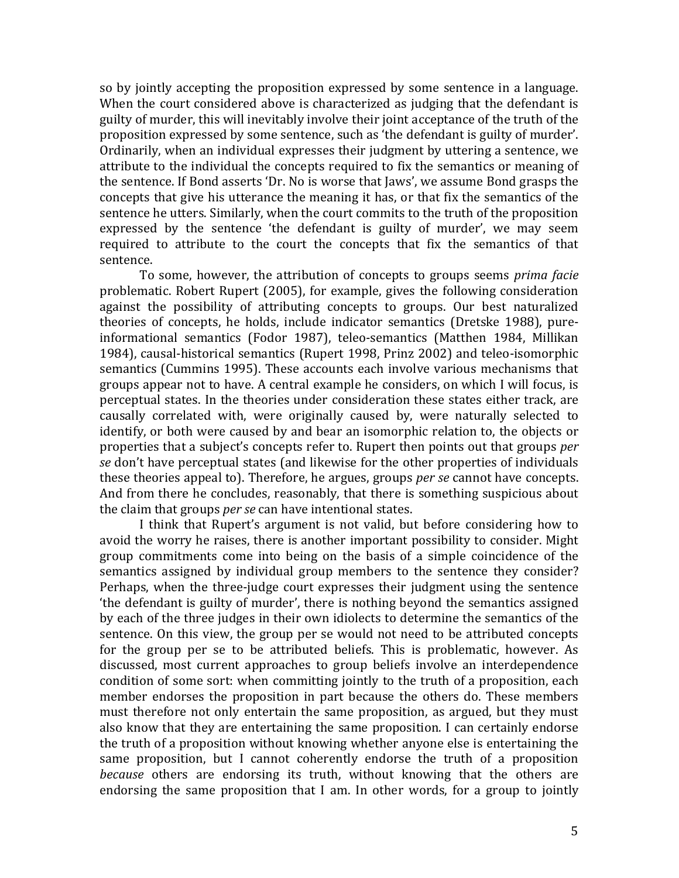so by jointly accepting the proposition expressed by some sentence in a language. When the court considered above is characterized as judging that the defendant is guilty of murder, this will inevitably involve their joint acceptance of the truth of the proposition expressed by some sentence, such as 'the defendant is guilty of murder'. Ordinarily, when an individual expresses their judgment by uttering a sentence, we attribute to the individual the concepts required to fix the semantics or meaning of the sentence. If Bond asserts 'Dr. No is worse that Jaws', we assume Bond grasps the concepts that give his utterance the meaning it has, or that fix the semantics of the sentence he utters. Similarly, when the court commits to the truth of the proposition expressed by the sentence 'the defendant is guilty of murder', we may seem required to attribute to the court the concepts that fix the semantics of that sentence.

To some, however, the attribution of concepts to groups seems *prima facie* problematic. Robert Rupert (2005), for example, gives the following consideration against the possibility of attributing concepts to groups. Our best naturalized theories of concepts, he holds, include indicator semantics (Dretske 1988). pureinformational semantics (Fodor 1987), teleo-semantics (Matthen 1984, Millikan 1984), causal-historical semantics (Rupert 1998, Prinz 2002) and teleo-isomorphic semantics (Cummins 1995). These accounts each involve various mechanisms that groups appear not to have. A central example he considers, on which I will focus, is perceptual states. In the theories under consideration these states either track, are causally correlated with, were originally caused by, were naturally selected to identify, or both were caused by and bear an isomorphic relation to, the objects or properties that a subject's concepts refer to. Rupert then points out that groups *per* se don't have perceptual states (and likewise for the other properties of individuals these theories appeal to). Therefore, he argues, groups *per se* cannot have concepts. And from there he concludes, reasonably, that there is something suspicious about the claim that groups *per se* can have intentional states.

I think that Rupert's argument is not valid, but before considering how to avoid the worry he raises, there is another important possibility to consider. Might group commitments come into being on the basis of a simple coincidence of the semantics assigned by individual group members to the sentence they consider? Perhaps, when the three-judge court expresses their judgment using the sentence 'the defendant is guilty of murder', there is nothing beyond the semantics assigned by each of the three judges in their own idiolects to determine the semantics of the sentence. On this view, the group per se would not need to be attributed concepts for the group per se to be attributed beliefs. This is problematic, however. As discussed, most current approaches to group beliefs involve an interdependence condition of some sort: when committing jointly to the truth of a proposition, each member endorses the proposition in part because the others do. These members must therefore not only entertain the same proposition, as argued, but they must also know that they are entertaining the same proposition. I can certainly endorse the truth of a proposition without knowing whether anyone else is entertaining the same proposition, but I cannot coherently endorse the truth of a proposition *because* others are endorsing its truth, without knowing that the others are endorsing the same proposition that I am. In other words, for a group to jointly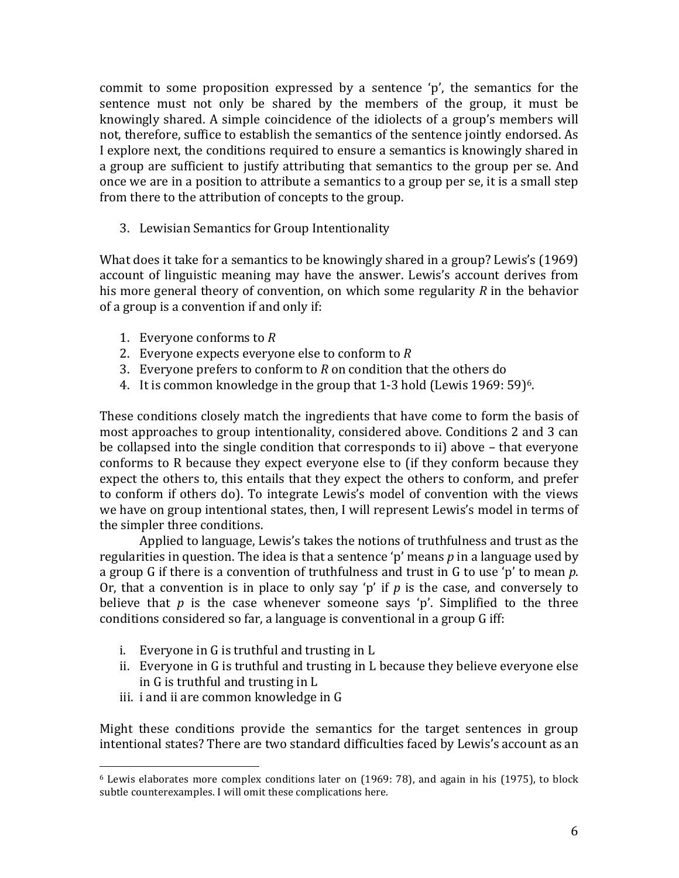commit to some proposition expressed by a sentence 'p', the semantics for the sentence must not only be shared by the members of the group, it must be knowingly shared. A simple coincidence of the idiolects of a group's members will not, therefore, suffice to establish the semantics of the sentence jointly endorsed. As I explore next, the conditions required to ensure a semantics is knowingly shared in a group are sufficient to justify attributing that semantics to the group per se. And once we are in a position to attribute a semantics to a group per se, it is a small step from there to the attribution of concepts to the group.

3. Lewisian Semantics for Group Intentionality

What does it take for a semantics to be knowingly shared in a group? Lewis's (1969) account of linguistic meaning may have the answer. Lewis's account derives from his more general theory of convention, on which some regularity  $R$  in the behavior of a group is a convention if and only if:

- 1. Everyone conforms to *R*
- 2. Everyone expects everyone else to conform to *R*
- 3. Everyone prefers to conform to *R* on condition that the others do
- 4. It is common knowledge in the group that  $1-3$  hold (Lewis 1969: 59)<sup>6</sup>.

These conditions closely match the ingredients that have come to form the basis of most approaches to group intentionality, considered above. Conditions 2 and 3 can be collapsed into the single condition that corresponds to ii) above – that everyone conforms to R because they expect everyone else to (if they conform because they expect the others to, this entails that they expect the others to conform, and prefer to conform if others do). To integrate Lewis's model of convention with the views we have on group intentional states, then, I will represent Lewis's model in terms of the simpler three conditions.

Applied to language, Lewis's takes the notions of truthfulness and trust as the regularities in question. The idea is that a sentence 'p' means  $p$  in a language used by a group G if there is a convention of truthfulness and trust in G to use 'p' to mean p. Or, that a convention is in place to only say 'p' if  $p$  is the case, and conversely to believe that  $p$  is the case whenever someone says 'p'. Simplified to the three conditions considered so far, a language is conventional in a group G iff:

- i. Everyone in  $G$  is truthful and trusting in  $L$
- ii. Everyone in  $G$  is truthful and trusting in  $L$  because they believe everyone else in  $G$  is truthful and trusting in  $L$
- iii. *i* and ii are common knowledge in G

!!!!!!!!!!!!!!!!!!!!!!!!!!!!!!!!!!!!!!!!!!!!!!!!!!!!!!!

Might these conditions provide the semantics for the target sentences in group intentional states? There are two standard difficulties faced by Lewis's account as an

 $6$  Lewis elaborates more complex conditions later on (1969: 78), and again in his (1975), to block subtle counterexamples. I will omit these complications here.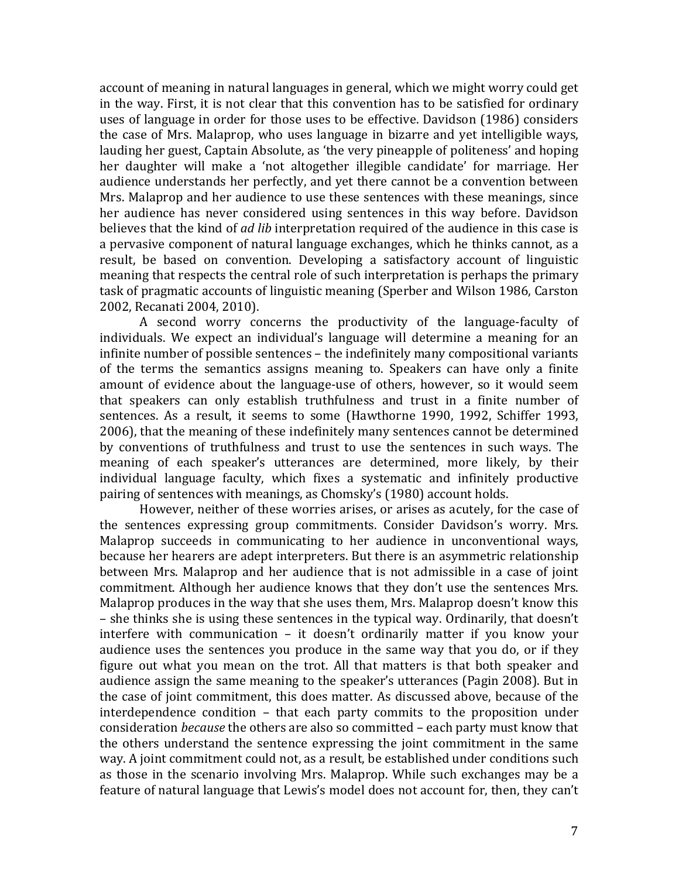account of meaning in natural languages in general, which we might worry could get in the way. First, it is not clear that this convention has to be satisfied for ordinary uses of language in order for those uses to be effective. Davidson (1986) considers the case of Mrs. Malaprop, who uses language in bizarre and vet intelligible ways, lauding her guest, Captain Absolute, as 'the very pineapple of politeness' and hoping her daughter will make a 'not altogether illegible candidate' for marriage. Her audience understands her perfectly, and yet there cannot be a convention between Mrs. Malaprop and her audience to use these sentences with these meanings, since her audience has never considered using sentences in this way before. Davidson believes that the kind of *ad lib* interpretation required of the audience in this case is a pervasive component of natural language exchanges, which he thinks cannot, as a result, be based on convention. Developing a satisfactory account of linguistic meaning that respects the central role of such interpretation is perhaps the primary task of pragmatic accounts of linguistic meaning (Sperber and Wilson 1986, Carston 2002, Recanati 2004, 2010).

A second worry concerns the productivity of the language-faculty of individuals. We expect an individual's language will determine a meaning for an infinite number of possible sentences – the indefinitely many compositional variants of the terms the semantics assigns meaning to. Speakers can have only a finite amount of evidence about the language-use of others, however, so it would seem that speakers can only establish truthfulness and trust in a finite number of sentences. As a result, it seems to some (Hawthorne 1990, 1992, Schiffer 1993, 2006), that the meaning of these indefinitely many sentences cannot be determined by conventions of truthfulness and trust to use the sentences in such ways. The meaning of each speaker's utterances are determined, more likely, by their individual language faculty, which fixes a systematic and infinitely productive pairing of sentences with meanings, as Chomsky's (1980) account holds.

However, neither of these worries arises, or arises as acutely, for the case of the sentences expressing group commitments. Consider Davidson's worry. Mrs. Malaprop succeeds in communicating to her audience in unconventional ways, because her hearers are adept interpreters. But there is an asymmetric relationship between Mrs. Malaprop and her audience that is not admissible in a case of joint commitment. Although her audience knows that they don't use the sentences Mrs. Malaprop produces in the way that she uses them, Mrs. Malaprop doesn't know this – she thinks she is using these sentences in the typical way. Ordinarily, that doesn't  $interfere$  with communication – it doesn't ordinarily matter if you know your audience uses the sentences you produce in the same way that you do, or if they figure out what you mean on the trot. All that matters is that both speaker and audience assign the same meaning to the speaker's utterances (Pagin 2008). But in the case of joint commitment, this does matter. As discussed above, because of the  $interdependence$  condition – that each party commits to the proposition under consideration *because* the others are also so committed – each party must know that the others understand the sentence expressing the joint commitment in the same way. A joint commitment could not, as a result, be established under conditions such as those in the scenario involving Mrs. Malaprop. While such exchanges may be a feature of natural language that Lewis's model does not account for, then, they can't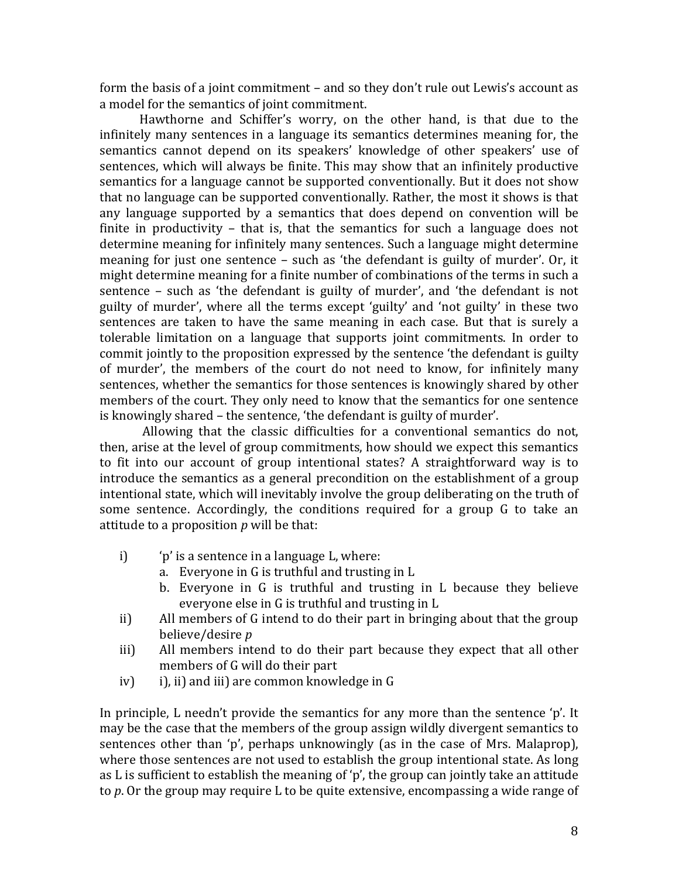form the basis of a joint commitment – and so they don't rule out Lewis's account as a model for the semantics of joint commitment.

Hawthorne and Schiffer's worry, on the other hand, is that due to the infinitely many sentences in a language its semantics determines meaning for, the semantics cannot depend on its speakers' knowledge of other speakers' use of sentences, which will always be finite. This may show that an infinitely productive semantics for a language cannot be supported conventionally. But it does not show that no language can be supported conventionally. Rather, the most it shows is that any language supported by a semantics that does depend on convention will be finite in productivity – that is, that the semantics for such a language does not determine meaning for infinitely many sentences. Such a language might determine meaning for just one sentence – such as 'the defendant is guilty of murder'. Or, it might determine meaning for a finite number of combinations of the terms in such a sentence – such as 'the defendant is guilty of murder', and 'the defendant is not guilty of murder', where all the terms except 'guilty' and 'not guilty' in these two sentences are taken to have the same meaning in each case. But that is surely a tolerable limitation on a language that supports joint commitments. In order to commit jointly to the proposition expressed by the sentence 'the defendant is guilty of murder', the members of the court do not need to know, for infinitely many sentences, whether the semantics for those sentences is knowingly shared by other members of the court. They only need to know that the semantics for one sentence is knowingly shared – the sentence, 'the defendant is guilty of murder'.

Allowing that the classic difficulties for a conventional semantics do not, then, arise at the level of group commitments, how should we expect this semantics to fit into our account of group intentional states? A straightforward way is to introduce the semantics as a general precondition on the establishment of a group intentional state, which will inevitably involve the group deliberating on the truth of some sentence. Accordingly, the conditions required for a group G to take an attitude to a proposition p will be that:

- i)  $'p'$  is a sentence in a language L, where:
	- a. Everyone in  $G$  is truthful and trusting in  $L$
	- b. Everyone in  $G$  is truthful and trusting in  $L$  because they believe everyone else in G is truthful and trusting in L
- ii) All members of G intend to do their part in bringing about that the group believe/desire *p*
- iii) All members intend to do their part because they expect that all other members of G will do their part
- iv) i), ii) and iii) are common knowledge in  $G$

In principle, L needn't provide the semantics for any more than the sentence 'p'. It may be the case that the members of the group assign wildly divergent semantics to sentences other than 'p', perhaps unknowingly (as in the case of Mrs. Malaprop), where those sentences are not used to establish the group intentional state. As long as L is sufficient to establish the meaning of 'p', the group can jointly take an attitude to p. Or the group may require L to be quite extensive, encompassing a wide range of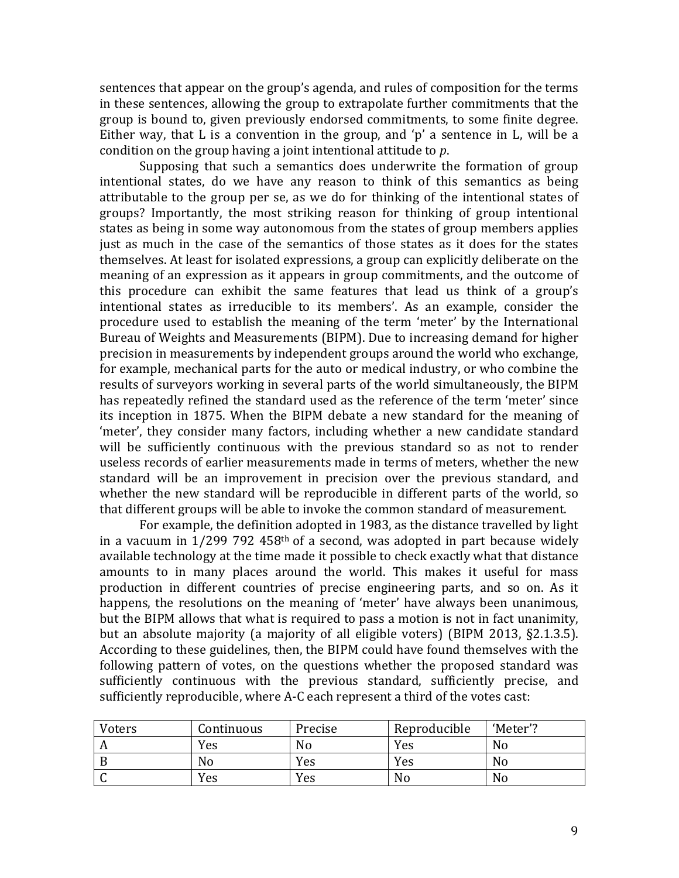sentences that appear on the group's agenda, and rules of composition for the terms in these sentences, allowing the group to extrapolate further commitments that the group is bound to, given previously endorsed commitments, to some finite degree. Either way, that L is a convention in the group, and 'p' a sentence in L, will be a condition on the group having a joint intentional attitude to p.

Supposing that such a semantics does underwrite the formation of group intentional states, do we have any reason to think of this semantics as being attributable to the group per se, as we do for thinking of the intentional states of groups? Importantly, the most striking reason for thinking of group intentional states as being in some way autonomous from the states of group members applies just as much in the case of the semantics of those states as it does for the states themselves. At least for isolated expressions, a group can explicitly deliberate on the meaning of an expression as it appears in group commitments, and the outcome of this procedure can exhibit the same features that lead us think of a group's intentional states as irreducible to its members'. As an example, consider the procedure used to establish the meaning of the term 'meter' by the International Bureau of Weights and Measurements (BIPM). Due to increasing demand for higher precision in measurements by independent groups around the world who exchange, for example, mechanical parts for the auto or medical industry, or who combine the results of surveyors working in several parts of the world simultaneously, the BIPM has repeatedly refined the standard used as the reference of the term 'meter' since its inception in 1875. When the BIPM debate a new standard for the meaning of 'meter', they consider many factors, including whether a new candidate standard will be sufficiently continuous with the previous standard so as not to render useless records of earlier measurements made in terms of meters, whether the new standard will be an improvement in precision over the previous standard, and whether the new standard will be reproducible in different parts of the world, so that different groups will be able to invoke the common standard of measurement.

For example, the definition adopted in 1983, as the distance travelled by light in a vacuum in  $1/299$  792 458<sup>th</sup> of a second, was adopted in part because widely available technology at the time made it possible to check exactly what that distance amounts to in many places around the world. This makes it useful for mass production in different countries of precise engineering parts, and so on. As it happens, the resolutions on the meaning of 'meter' have always been unanimous, but the BIPM allows that what is required to pass a motion is not in fact unanimity, but an absolute majority (a majority of all eligible voters) (BIPM 2013, §2.1.3.5). According to these guidelines, then, the BIPM could have found themselves with the following pattern of votes, on the questions whether the proposed standard was sufficiently continuous with the previous standard, sufficiently precise, and sufficiently reproducible, where A-C each represent a third of the votes cast:

| Voters | Continuous     | Precise | Reproducible | 'Meter'? |
|--------|----------------|---------|--------------|----------|
|        | Yes            | No      | Yes          | No       |
|        | N <sub>o</sub> | Yes     | Yes          | No       |
|        | Yes            | Yes     | No           | No       |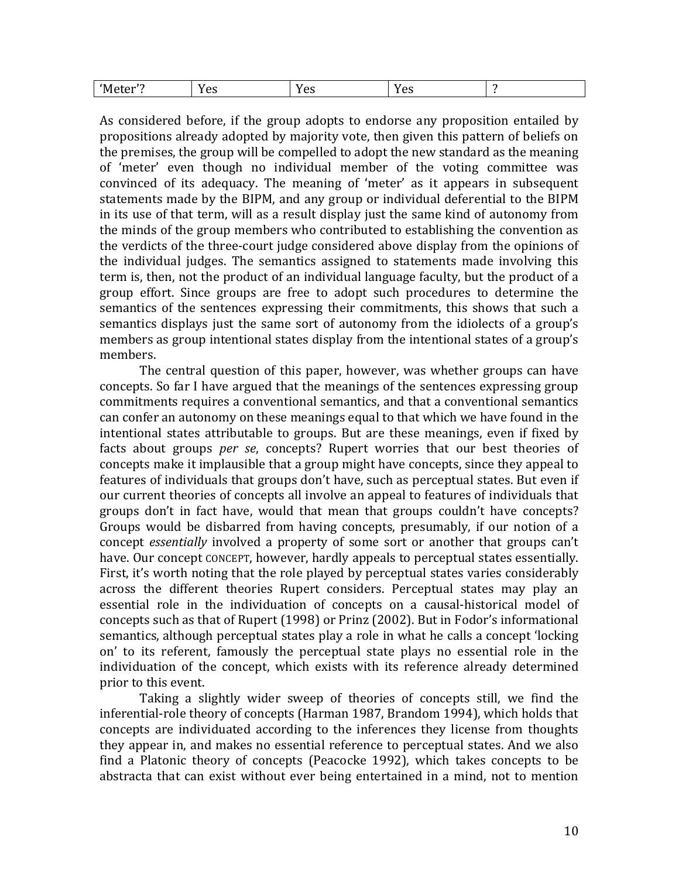| - - - - - - | $^{\prime}$ M $_{\alpha}$<br>w.<br>- | - -<br>1 U J | .<br> | . |  |
|-------------|--------------------------------------|--------------|-------|---|--|
|-------------|--------------------------------------|--------------|-------|---|--|

As considered before, if the group adopts to endorse any proposition entailed by propositions already adopted by majority vote, then given this pattern of beliefs on the premises, the group will be compelled to adopt the new standard as the meaning of 'meter' even though no individual member of the voting committee was convinced of its adequacy. The meaning of 'meter' as it appears in subsequent statements made by the BIPM, and any group or individual deferential to the BIPM in its use of that term, will as a result display just the same kind of autonomy from the minds of the group members who contributed to establishing the convention as the verdicts of the three-court judge considered above display from the opinions of the individual judges. The semantics assigned to statements made involving this term is, then, not the product of an individual language faculty, but the product of a group effort. Since groups are free to adopt such procedures to determine the semantics of the sentences expressing their commitments, this shows that such a semantics displays just the same sort of autonomy from the idiolects of a group's members as group intentional states display from the intentional states of a group's members.

The central question of this paper, however, was whether groups can have concepts. So far I have argued that the meanings of the sentences expressing group commitments requires a conventional semantics, and that a conventional semantics can confer an autonomy on these meanings equal to that which we have found in the intentional states attributable to groups. But are these meanings, even if fixed by facts about groups *per se*, concepts? Rupert worries that our best theories of concepts make it implausible that a group might have concepts, since they appeal to features of individuals that groups don't have, such as perceptual states. But even if our current theories of concepts all involve an appeal to features of individuals that groups don't in fact have, would that mean that groups couldn't have concepts? Groups would be disbarred from having concepts, presumably, if our notion of a concept *essentially* involved a property of some sort or another that groups can't have. Our concept CONCEPT, however, hardly appeals to perceptual states essentially. First, it's worth noting that the role played by perceptual states varies considerably across the different theories Rupert considers. Perceptual states may play an essential role in the individuation of concepts on a causal-historical model of concepts such as that of Rupert (1998) or Prinz (2002). But in Fodor's informational semantics, although perceptual states play a role in what he calls a concept 'locking on' to its referent, famously the perceptual state plays no essential role in the individuation of the concept, which exists with its reference already determined prior to this event.

Taking a slightly wider sweep of theories of concepts still, we find the inferential-role theory of concepts (Harman 1987, Brandom 1994), which holds that concepts are individuated according to the inferences they license from thoughts they appear in, and makes no essential reference to perceptual states. And we also find a Platonic theory of concepts (Peacocke 1992), which takes concepts to be abstracta that can exist without ever being entertained in a mind, not to mention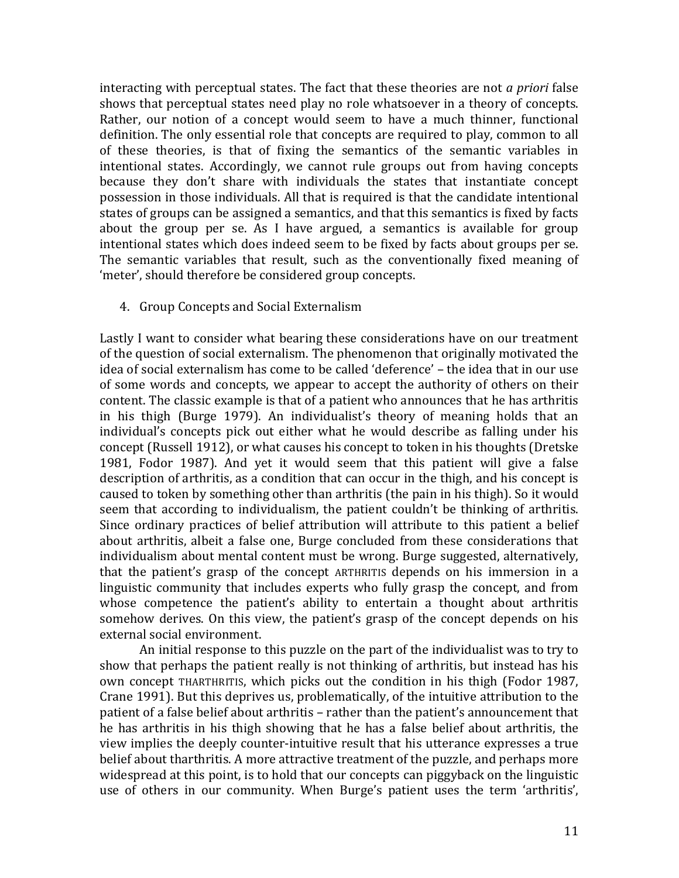interacting with perceptual states. The fact that these theories are not *a priori* false shows that perceptual states need play no role whatsoever in a theory of concepts. Rather, our notion of a concept would seem to have a much thinner, functional definition. The only essential role that concepts are required to play, common to all of these theories, is that of fixing the semantics of the semantic variables in intentional states. Accordingly, we cannot rule groups out from having concepts because they don't share with individuals the states that instantiate concept possession in those individuals. All that is required is that the candidate intentional states of groups can be assigned a semantics, and that this semantics is fixed by facts about the group per se. As I have argued, a semantics is available for group intentional states which does indeed seem to be fixed by facts about groups per se. The semantic variables that result, such as the conventionally fixed meaning of 'meter', should therefore be considered group concepts.

## 4. Group Concepts and Social Externalism

Lastly I want to consider what bearing these considerations have on our treatment of the question of social externalism. The phenomenon that originally motivated the idea of social externalism has come to be called 'deference' – the idea that in our use of some words and concepts, we appear to accept the authority of others on their content. The classic example is that of a patient who announces that he has arthritis in his thigh (Burge 1979). An individualist's theory of meaning holds that an individual's concepts pick out either what he would describe as falling under his concept (Russell 1912), or what causes his concept to token in his thoughts (Dretske 1981, Fodor 1987). And yet it would seem that this patient will give a false description of arthritis, as a condition that can occur in the thigh, and his concept is caused to token by something other than arthritis (the pain in his thigh). So it would seem that according to individualism, the patient couldn't be thinking of arthritis. Since ordinary practices of belief attribution will attribute to this patient a belief about arthritis, albeit a false one, Burge concluded from these considerations that individualism about mental content must be wrong. Burge suggested, alternatively, that the patient's grasp of the concept ARTHRITIS depends on his immersion in a linguistic community that includes experts who fully grasp the concept, and from whose competence the patient's ability to entertain a thought about arthritis somehow derives. On this view, the patient's grasp of the concept depends on his external social environment.

An initial response to this puzzle on the part of the individualist was to try to show that perhaps the patient really is not thinking of arthritis, but instead has his own concept THARTHRITIS, which picks out the condition in his thigh (Fodor 1987, Crane 1991). But this deprives us, problematically, of the intuitive attribution to the patient of a false belief about arthritis – rather than the patient's announcement that he has arthritis in his thigh showing that he has a false belief about arthritis, the view implies the deeply counter-intuitive result that his utterance expresses a true belief about tharthritis. A more attractive treatment of the puzzle, and perhaps more widespread at this point, is to hold that our concepts can piggyback on the linguistic use of others in our community. When Burge's patient uses the term 'arthritis',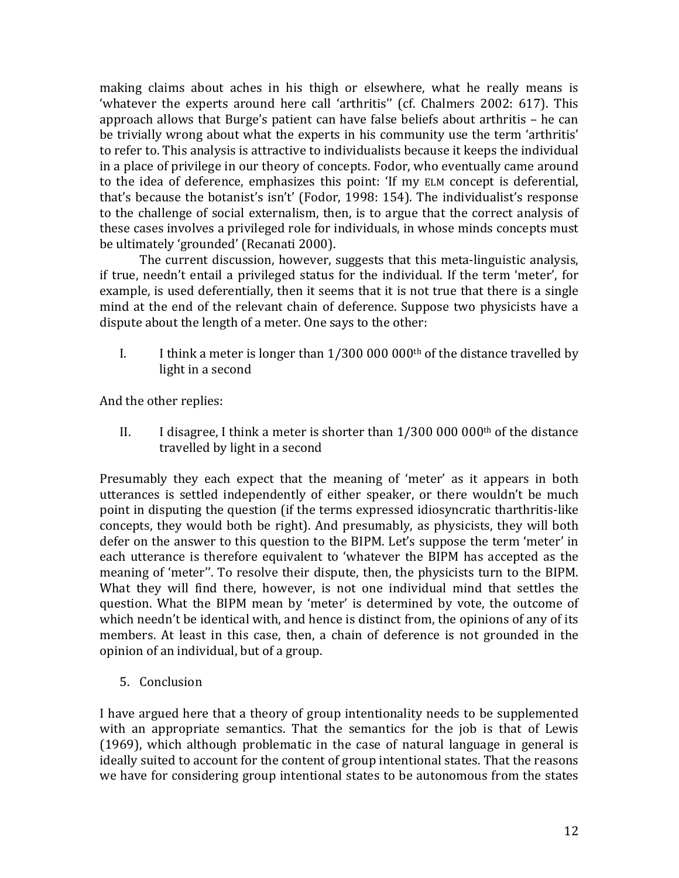making claims about aches in his thigh or elsewhere, what he really means is 'whatever the experts around here call 'arthritis" (cf. Chalmers 2002: 617). This approach allows that Burge's patient can have false beliefs about arthritis – he can be trivially wrong about what the experts in his community use the term 'arthritis' to refer to. This analysis is attractive to individualists because it keeps the individual in a place of privilege in our theory of concepts. Fodor, who eventually came around to the idea of deference, emphasizes this point: 'If my ELM concept is deferential, that's because the botanist's isn't' (Fodor, 1998: 154). The individualist's response to the challenge of social externalism, then, is to argue that the correct analysis of these cases involves a privileged role for individuals, in whose minds concepts must be ultimately 'grounded' (Recanati 2000).

The current discussion, however, suggests that this meta-linguistic analysis, if true, needn't entail a privileged status for the individual. If the term 'meter', for example, is used deferentially, then it seems that it is not true that there is a single mind at the end of the relevant chain of deference. Suppose two physicists have a dispute about the length of a meter. One says to the other:

I. I think a meter is longer than  $1/300\,000\,000$ <sup>th</sup> of the distance travelled by light in a second

And the other replies:

II. I disagree, I think a meter is shorter than  $1/300\,000\,000$ <sup>th</sup> of the distance travelled by light in a second

Presumably they each expect that the meaning of 'meter' as it appears in both utterances is settled independently of either speaker, or there wouldn't be much point in disputing the question (if the terms expressed idiosyncratic tharthritis-like concepts, they would both be right). And presumably, as physicists, they will both defer on the answer to this question to the BIPM. Let's suppose the term 'meter' in each utterance is therefore equivalent to 'whatever the BIPM has accepted as the meaning of 'meter''. To resolve their dispute, then, the physicists turn to the BIPM. What they will find there, however, is not one individual mind that settles the question. What the BIPM mean by 'meter' is determined by vote, the outcome of which needn't be identical with, and hence is distinct from, the opinions of any of its members. At least in this case, then, a chain of deference is not grounded in the opinion of an individual, but of a group.

5. Conclusion

I have argued here that a theory of group intentionality needs to be supplemented with an appropriate semantics. That the semantics for the job is that of Lewis  $(1969)$ , which although problematic in the case of natural language in general is ideally suited to account for the content of group intentional states. That the reasons we have for considering group intentional states to be autonomous from the states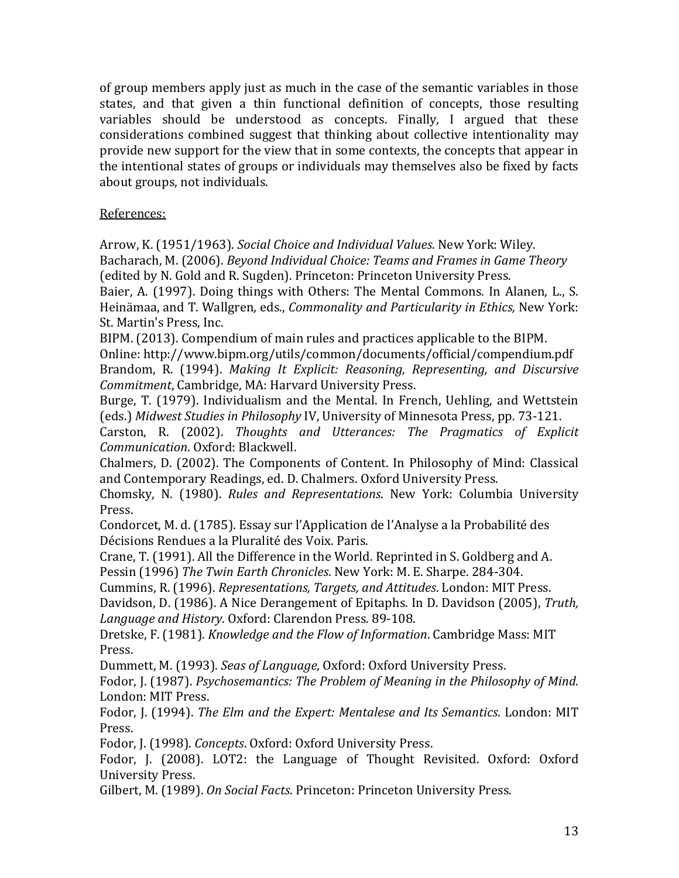of group members apply just as much in the case of the semantic variables in those states, and that given a thin functional definition of concepts, those resulting variables should be understood as concepts. Finally, I argued that these considerations combined suggest that thinking about collective intentionality may provide new support for the view that in some contexts, the concepts that appear in the intentional states of groups or individuals may themselves also be fixed by facts about groups, not individuals.

## References:

Arrow, K. (1951/1963). *Social Choice and Individual Values*. New York: Wiley. Bacharach, M. (2006). *Beyond Individual Choice: Teams and Frames in Game Theory* (edited by N. Gold and R. Sugden). Princeton: Princeton University Press.

Baier, A. (1997). Doing things with Others: The Mental Commons. In Alanen, L., S. Heinämaa, and T. Wallgren, eds., *Commonality and Particularity in Ethics*, New York: St. Martin's Press, Inc.

BIPM. (2013). Compendium of main rules and practices applicable to the BIPM. Online:!http://www.bipm.org/utils/common/documents/official/compendium.pdf Brandom, R. (1994). *Making It Explicit: Reasoning, Representing, and Discursive Commitment, Cambridge, MA: Harvard University Press.* 

Burge, T. (1979). Individualism and the Mental. In French, Uehling, and Wettstein (eds.) *Midwest Studies in Philosophy IV*, University of Minnesota Press, pp. 73-121.

Carston, R. (2002). *Thoughts and Utterances: The Pragmatics of Explicit Communication*. Oxford: Blackwell.

Chalmers, D. (2002). The Components of Content. In Philosophy of Mind: Classical and Contemporary Readings, ed. D. Chalmers. Oxford University Press.

Chomsky, N. (1980). *Rules and Representations*. New York: Columbia University Press.

Condorcet, M. d. (1785). Essay sur l'Application de l'Analyse a la Probabilité des Décisions Rendues a la Pluralité des Voix. Paris.

Crane, T. (1991). All the Difference in the World. Reprinted in S. Goldberg and A. Pessin (1996) The Twin Earth Chronicles. New York: M. E. Sharpe. 284-304.

Cummins, R. (1996). *Representations, Targets, and Attitudes*. London: MIT Press.

Davidson, D. (1986). A Nice Derangement of Epitaphs. In D. Davidson (2005), *Truth,* Language and History. Oxford: Clarendon Press. 89-108.

Dretske, F. (1981). *Knowledge and the Flow of Information*. Cambridge Mass: MIT Press.

Dummett, M. (1993). *Seas of Language*, Oxford: Oxford University Press.

Fodor, J. (1987). *Psychosemantics: The Problem of Meaning in the Philosophy of Mind.* London: MIT Press.

Fodor, J. (1994). *The Elm and the Expert: Mentalese and Its Semantics*. London: MIT Press.

Fodor, J. (1998). *Concepts*. Oxford: Oxford University Press.

Fodor, J. (2008). LOT2: the Language of Thought Revisited. Oxford: Oxford **University Press.** 

Gilbert, M. (1989). *On Social Facts*. Princeton: Princeton University Press.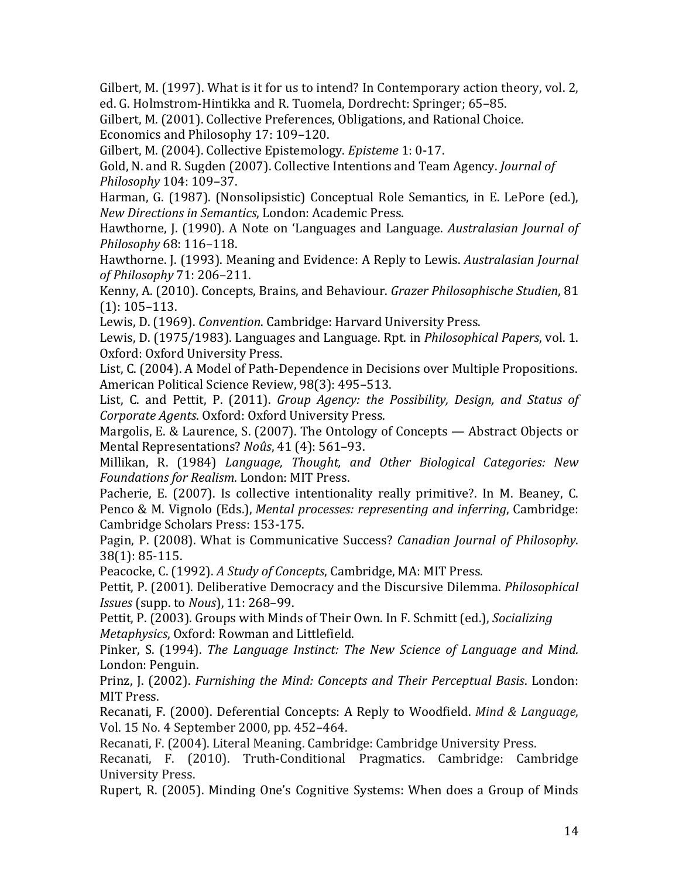Gilbert, M. (1997). What is it for us to intend? In Contemporary action theory, vol. 2, ed. G. Holmstrom-Hintikka and R. Tuomela, Dordrecht: Springer; 65–85.

Gilbert, M. (2001). Collective Preferences, Obligations, and Rational Choice. Economics and Philosophy 17: 109–120.

Gilbert, M. (2004). Collective Epistemology. *Episteme* 1: 0-17.

Gold, N. and R. Sugden (2007). Collective Intentions and Team Agency. *Journal of Philosophy* 104: 109–37.

Harman, G. (1987). (Nonsolipsistic) Conceptual Role Semantics, in E. LePore (ed.), *New Directions in Semantics*, London: Academic Press.

Hawthorne, J. (1990). A Note on 'Languages and Language. *Australasian Journal of* Philosophy 68: 116-118.

Hawthorne. J. (1993). Meaning and Evidence: A Reply to Lewis. *Australasian Journal of Philosophy* 71: 206-211.

Kenny, A. (2010). Concepts, Brains, and Behaviour. *Grazer Philosophische Studien*, 81  $(1): 105-113.$ 

Lewis, D. (1969). *Convention*. Cambridge: Harvard University Press.

Lewis, D. (1975/1983). Languages and Language. Rpt. in *Philosophical Papers*, vol. 1. Oxford: Oxford University Press.

List, C. (2004). A Model of Path-Dependence in Decisions over Multiple Propositions. American Political Science Review, 98(3): 495-513.

List, C. and Pettit, P. (2011). *Group Agency: the Possibility, Design, and Status of Corporate Agents. Oxford: Oxford University Press.* 

Margolis, E. & Laurence, S. (2007). The Ontology of Concepts — Abstract Objects or Mental Representations? *Noûs*, 41 (4): 561–93.

Millikan, R. (1984) *Language, Thought, and Other Biological Categories: New Foundations for Realism.* London: MIT Press.

Pacherie, E. (2007). Is collective intentionality really primitive?. In M. Beaney, C. Penco & M. Vignolo (Eds.), *Mental processes: representing and inferring*, Cambridge: Cambridge Scholars Press: 153-175.

Pagin, P. (2008). What is Communicative Success? *Canadian Journal of Philosophy*.  $38(1): 85-115.$ 

Peacocke, C. (1992). *A Study of Concepts*, Cambridge, MA: MIT Press.

Pettit, P. (2001). Deliberative Democracy and the Discursive Dilemma. *Philosophical Issues* (supp. to *Nous*), 11: 268–99.

Pettit, P. (2003). Groups with Minds of Their Own. In F. Schmitt (ed.), *Socializing Metaphysics*, Oxford: Rowman and Littlefield.

Pinker, S. (1994). *The Language Instinct: The New Science of Language and Mind.* London: Penguin.

Prinz, J. (2002). *Furnishing the Mind: Concepts and Their Perceptual Basis.* London: MIT Press.

Recanati, F. (2000). Deferential Concepts: A Reply to Woodfield. *Mind & Language*, Vol. 15 No. 4 September 2000, pp. 452–464.

Recanati, F. (2004). Literal Meaning. Cambridge: Cambridge University Press.

Recanati, F. (2010). Truth-Conditional Pragmatics. Cambridge: Cambridge University Press.

Rupert, R. (2005). Minding One's Cognitive Systems: When does a Group of Minds